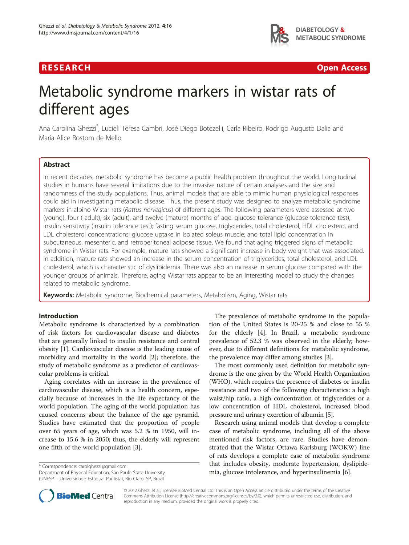

## R E S EA RCH Open Access

# Metabolic syndrome markers in wistar rats of different ages

Ana Carolina Ghezzi\* , Lucieli Teresa Cambri, José Diego Botezelli, Carla Ribeiro, Rodrigo Augusto Dalia and Maria Alice Rostom de Mello

## Abstract

In recent decades, metabolic syndrome has become a public health problem throughout the world. Longitudinal studies in humans have several limitations due to the invasive nature of certain analyses and the size and randomness of the study populations. Thus, animal models that are able to mimic human physiological responses could aid in investigating metabolic disease. Thus, the present study was designed to analyze metabolic syndrome markers in albino Wistar rats (Rattus norvegicus) of different ages. The following parameters were assessed at two (young), four ( adult), six (adult), and twelve (mature) months of age: glucose tolerance (glucose tolerance test); insulin sensitivity (insulin tolerance test); fasting serum glucose, triglycerides, total cholesterol, HDL cholestero, and LDL cholesterol concentrations; glucose uptake in isolated soleus muscle; and total lipid concentration in subcutaneous, mesenteric, and retroperitoneal adipose tissue. We found that aging triggered signs of metabolic syndrome in Wistar rats. For example, mature rats showed a significant increase in body weight that was associated. In addition, mature rats showed an increase in the serum concentration of triglycerides, total cholesterol, and LDL cholesterol, which is characteristic of dyslipidemia. There was also an increase in serum glucose compared with the younger groups of animals. Therefore, aging Wistar rats appear to be an interesting model to study the changes related to metabolic syndrome.

Keywords: Metabolic syndrome, Biochemical parameters, Metabolism, Aging, Wistar rats

#### Introduction

Metabolic syndrome is characterized by a combination of risk factors for cardiovascular disease and diabetes that are generally linked to insulin resistance and central obesity [\[1](#page-5-0)]. Cardiovascular disease is the leading cause of morbidity and mortality in the world [\[2](#page-5-0)]; therefore, the study of metabolic syndrome as a predictor of cardiovascular problems is critical.

Aging correlates with an increase in the prevalence of cardiovascular disease, which is a health concern, especially because of increases in the life expectancy of the world population. The aging of the world population has caused concerns about the balance of the age pyramid. Studies have estimated that the proportion of people over 65 years of age, which was 5.2 % in 1950, will increase to 15.6 % in 2050; thus, the elderly will represent one fifth of the world population [[3\]](#page-5-0).

\* Correspondence: [carolghezzi@gmail.com](mailto:carolghezzi@gmail.com)

Department of Physical Education, São Paulo State University (UNESP – Universidade Estadual Paulista), Rio Claro, SP, Brazil

The prevalence of metabolic syndrome in the population of the United States is 20-25 % and close to 55 % for the elderly [\[4](#page-5-0)]. In Brazil, a metabolic syndrome prevalence of 52.3 % was observed in the elderly; however, due to different definitions for metabolic syndrome, the prevalence may differ among studies [[3](#page-5-0)].

The most commonly used definition for metabolic syndrome is the one given by the World Health Organization (WHO), which requires the presence of diabetes or insulin resistance and two of the following characteristics: a high waist/hip ratio, a high concentration of triglycerides or a low concentration of HDL cholesterol, increased blood pressure and urinary excretion of albumin [\[5](#page-6-0)].

Research using animal models that develop a complete case of metabolic syndrome, including all of the above mentioned risk factors, are rare. Studies have demonstrated that the Wistar Ottawa Karlsburg (WOKW) line of rats develops a complete case of metabolic syndrome that includes obesity, moderate hypertension, dyslipidemia, glucose intolerance, and hyperinsulinemia [\[6\]](#page-6-0).



© 2012 Ghezzi et al.; licensee BioMed Central Ltd. This is an Open Access article distributed under the terms of the Creative Commons Attribution License (http://creativecommons.org/licenses/by/2.0), which permits unrestricted use, distribution, and reproduction in any medium, provided the original work is properly cited.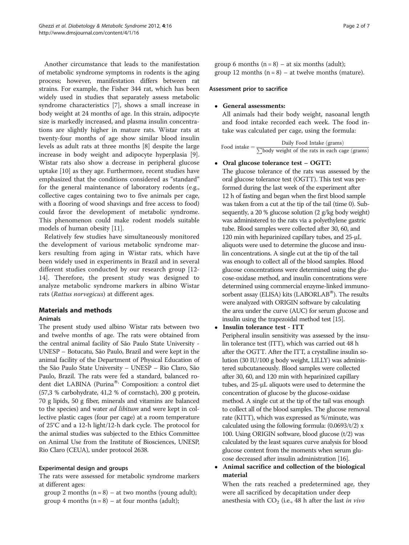Another circumstance that leads to the manifestation of metabolic syndrome symptoms in rodents is the aging process; however, manifestation differs between rat strains. For example, the Fisher 344 rat, which has been widely used in studies that separately assess metabolic syndrome characteristics [[7](#page-6-0)], shows a small increase in body weight at 24 months of age. In this strain, adipocyte size is markedly increased, and plasma insulin concentrations are slightly higher in mature rats. Wistar rats at twenty-four months of age show similar blood insulin levels as adult rats at three months [[8](#page-6-0)] despite the large increase in body weight and adipocyte hyperplasia [\[9](#page-6-0)]. Wistar rats also show a decrease in peripheral glucose uptake [\[10\]](#page-6-0) as they age. Furthermore, recent studies have emphasized that the conditions considered as "standard" for the general maintenance of laboratory rodents (e.g., collective cages containing two to five animals per cage, with a flooring of wood shavings and free access to food) could favor the development of metabolic syndrome. This phenomenon could make rodent models suitable models of human obesity [[11](#page-6-0)].

Relatively few studies have simultaneously monitored the development of various metabolic syndrome markers resulting from aging in Wistar rats, which have been widely used in experiments in Brazil and in several different studies conducted by our research group [[12-](#page-6-0) [14\]](#page-6-0). Therefore, the present study was designed to analyze metabolic syndrome markers in albino Wistar rats (Rattus norvegicus) at different ages.

## Materials and methods

#### Animals

The present study used albino Wistar rats between two and twelve months of age. The rats were obtained from the central animal facility of São Paulo State University - UNESP – Botucatu, São Paulo, Brazil and were kept in the animal facility of the Department of Physical Education of the São Paulo State University – UNESP – Rio Claro, São Paulo, Brazil. The rats were fed a standard, balanced rodent diet LABINA (Purina®, Composition: a control diet (57,3 % carbohydrate, 41,2 % of cornstach), 200 g protein, 70 g lipids, 50 g fiber, minerals and vitamins are balanced to the species) and water *ad libitum* and were kept in collective plastic cages (four per cage) at a room temperature of 25°C and a 12-h light/12-h dark cycle. The protocol for the animal studies was subjected to the Ethics Committee on Animal Use from the Institute of Biosciences, UNESP, Rio Claro (CEUA), under protocol 2638.

#### Experimental design and groups

The rats were assessed for metabolic syndrome markers at different ages:

group 2 months  $(n = 8)$  – at two months (young adult); group 4 months  $(n = 8)$  – at four months (adult);

group 6 months  $(n = 8)$  – at six months (adult); group 12 months  $(n = 8)$  – at twelve months (mature).

#### Assessment prior to sacrifice

#### General assessments:

All animals had their body weight, nasoanal length and food intake recorded each week. The food intake was calculated per cage, using the formula:

| Food intake $=$ | Daily Food Intake (grams)                           |
|-----------------|-----------------------------------------------------|
|                 | $\sum$ body weight of the rats in each cage (grams) |

## • Oral glucose tolerance test – OGTT:

- The glucose tolerance of the rats was assessed by the oral glucose tolerance test (OGTT). This test was performed during the last week of the experiment after 12 h of fasting and began when the first blood sample was taken from a cut at the tip of the tail (time 0). Subsequently, a 20 % glucose solution (2 g/kg body weight) was administered to the rats via a polyethylene gastric tube. Blood samples were collected after 30, 60, and 120 min with heparinized capillary tubes, and 25-μL aliquots were used to determine the glucose and insulin concentrations. A single cut at the tip of the tail was enough to collect all of the blood samples. Blood glucose concentrations were determined using the glucose-oxidase method, and insulin concentrations were determined using commercial enzyme-linked immunosorbent assay (ELISA) kits (LABORLAB®). The results were analyzed with ORIGIN software by calculating the area under the curve (AUC) for serum glucose and insulin using the trapezoidal method test [[15](#page-6-0)].
- Insulin tolerance test ITT

Peripheral insulin sensitivity was assessed by the insulin tolerance test (ITT), which was carried out 48 h after the OGTT. After the ITT, a crystalline insulin solution (30 IU/100 g body weight, LILLY) was administered subcutaneously. Blood samples were collected after 30, 60, and 120 min with heparinized capillary tubes, and 25-μL aliquots were used to determine the concentration of glucose by the glucose-oxidase method. A single cut at the tip of the tail was enough to collect all of the blood samples. The glucose removal rate (KITT), which was expressed as %/minute, was calculated using the following formula:  $(0.0693/t/2)$  x 100. Using ORIGIN software, blood glucose (t/2) was calculated by the least squares curve analysis for blood glucose content from the moments when serum glucose decreased after insulin administration [\[16](#page-6-0)].

## Animal sacrifice and collection of the biological material

When the rats reached a predetermined age, they were all sacrificed by decapitation under deep anesthesia with  $CO<sub>2</sub>$  (i.e., 48 h after the last in vivo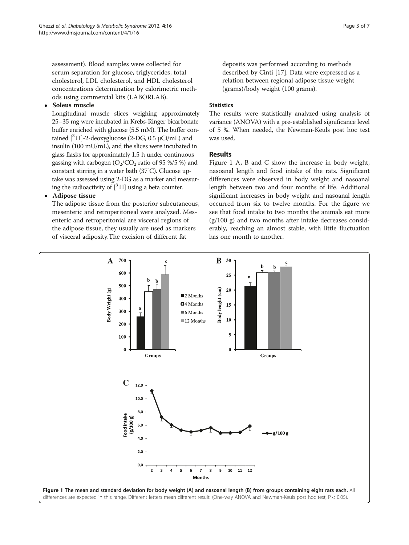assessment). Blood samples were collected for serum separation for glucose, triglycerides, total cholesterol, LDL cholesterol, and HDL cholesterol concentrations determination by calorimetric methods using commercial kits (LABORLAB).

## Soleus muscle

Longitudinal muscle slices weighing approximately 25–35 mg were incubated in Krebs-Ringer bicarbonate buffer enriched with glucose (5.5 mM). The buffer contained  $[^{3}H]$ -2-deoxyglucose (2-DG, 0.5  $\mu$ Ci/mL) and insulin (100 mU/mL), and the slices were incubated in glass flasks for approximately 1.5 h under continuous gassing with carbogen  $(O_2/CO_2)$  ratio of 95 %/5 %) and constant stirring in a water bath (37°C). Glucose uptake was assessed using 2-DG as a marker and measuring the radioactivity of  $[3H]$  using a beta counter.

## Adipose tissue

The adipose tissue from the posterior subcutaneous, mesenteric and retroperitoneal were analyzed. Mesenteric and retroperitonial are visceral regions of the adipose tissue, they usually are used as markers of visceral adiposity.The excision of different fat

deposits was performed according to methods described by Cinti [\[17\]](#page-6-0). Data were expressed as a relation between regional adipose tissue weight (grams)/body weight (100 grams).

## **Statistics**

The results were statistically analyzed using analysis of variance (ANOVA) with a pre-established significance level of 5 %. When needed, the Newman-Keuls post hoc test was used.

## Results

Figure 1 A, B and C show the increase in body weight, nasoanal length and food intake of the rats. Significant differences were observed in body weight and nasoanal length between two and four months of life. Additional significant increases in body weight and nasoanal length occurred from six to twelve months. For the figure we see that food intake to two months the animals eat more (g/100 g) and two months after intake decreases considerably, reaching an almost stable, with little fluctuation has one month to another.

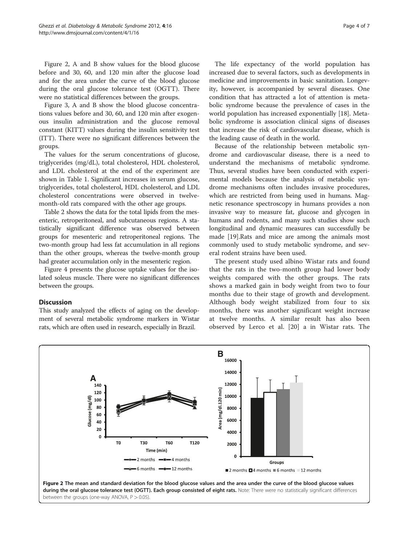Figure 2, A and B show values for the blood glucose before and 30, 60, and 120 min after the glucose load and for the area under the curve of the blood glucose during the oral glucose tolerance test (OGTT). There were no statistical differences between the groups.

Figure [3](#page-4-0), A and B show the blood glucose concentrations values before and 30, 60, and 120 min after exogenous insulin administration and the glucose removal constant (KITT) values during the insulin sensitivity test (ITT). There were no significant differences between the groups.

The values for the serum concentrations of glucose, triglycerides (mg/dL), total cholesterol, HDL cholesterol, and LDL cholesterol at the end of the experiment are shown in Table [1](#page-4-0). Significant increases in serum glucose, triglycerides, total cholesterol, HDL cholesterol, and LDL cholesterol concentrations were observed in twelvemonth-old rats compared with the other age groups.

Table [2](#page-5-0) shows the data for the total lipids from the mesenteric, retroperitoneal, and subcutaneous regions. A statistically significant difference was observed between groups for mesenteric and retroperitoneal regions. The two-month group had less fat accumulation in all regions than the other groups, whereas the twelve-month group had greater accumulation only in the mesenteric region.

Figure [4](#page-5-0) presents the glucose uptake values for the isolated soleus muscle. There were no significant differences between the groups.

#### **Discussion**

This study analyzed the effects of aging on the development of several metabolic syndrome markers in Wistar rats, which are often used in research, especially in Brazil.

The life expectancy of the world population has increased due to several factors, such as developments in medicine and improvements in basic sanitation. Longevity, however, is accompanied by several diseases. One condition that has attracted a lot of attention is metabolic syndrome because the prevalence of cases in the world population has increased exponentially [[18\]](#page-6-0). Metabolic syndrome is association clinical signs of diseases that increase the risk of cardiovascular disease, which is the leading cause of death in the world.

Because of the relationship between metabolic syndrome and cardiovascular disease, there is a need to understand the mechanisms of metabolic syndrome. Thus, several studies have been conducted with experimental models because the analysis of metabolic syndrome mechanisms often includes invasive procedures, which are restricted from being used in humans. Magnetic resonance spectroscopy in humans provides a non invasive way to measure fat, glucose and glycogen in humans and rodents, and many such studies show such longitudinal and dynamic measures can successfully be made [[19](#page-6-0)].Rats and mice are among the animals most commonly used to study metabolic syndrome, and several rodent strains have been used.

The present study used albino Wistar rats and found that the rats in the two-month group had lower body weights compared with the other groups. The rats shows a marked gain in body weight from two to four months due to their stage of growth and development. Although body weight stabilized from four to six months, there was another significant weight increase at twelve months. A similar result has also been observed by Lerco et al. [[20](#page-6-0)] a in Wistar rats. The

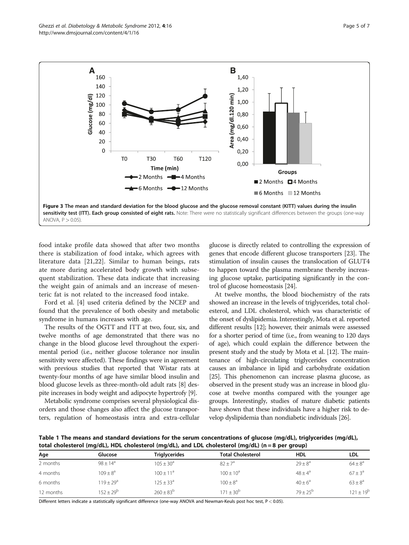food intake profile data showed that after two months there is stabilization of food intake, which agrees with literature data [[21,22](#page-6-0)]. Similar to human beings, rats ate more during accelerated body growth with subsequent stabilization. These data indicate that increasing the weight gain of animals and an increase of mesenteric fat is not related to the increased food intake.

Ford et al. [\[4](#page-5-0)] used criteria defined by the NCEP and found that the prevalence of both obesity and metabolic syndrome in humans increases with age.

The results of the OGTT and ITT at two, four, six, and twelve months of age demonstrated that there was no change in the blood glucose level throughout the experimental period (i.e., neither glucose tolerance nor insulin sensitivity were affected). These findings were in agreement with previous studies that reported that Wistar rats at twenty-four months of age have similar blood insulin and blood glucose levels as three-month-old adult rats [\[8\]](#page-6-0) despite increases in body weight and adipocyte hypertrofy [\[9](#page-6-0)].

Metabolic syndrome comprises several physiological disorders and those changes also affect the glucose transporters, regulation of homeostasis intra and extra-cellular

glucose is directly related to controlling the expression of genes that encode different glucose transporters [[23](#page-6-0)]. The stimulation of insulin causes the translocation of GLUT4 to happen toward the plasma membrane thereby increasing glucose uptake, participating significantly in the control of glucose homeostasis [[24](#page-6-0)].

At twelve months, the blood biochemistry of the rats showed an increase in the levels of triglycerides, total cholesterol, and LDL cholesterol, which was characteristic of the onset of dyslipidemia. Interestingly, Mota et al. reported different results [\[12\]](#page-6-0); however, their animals were assessed for a shorter period of time (i.e., from weaning to 120 days of age), which could explain the difference between the present study and the study by Mota et al. [\[12](#page-6-0)]. The maintenance of high-circulating triglycerides concentration causes an imbalance in lipid and carbohydrate oxidation [[25](#page-6-0)]. This phenomenon can increase plasma glucose, as observed in the present study was an increase in blood glucose at twelve months compared with the younger age groups. Interestingly, studies of mature diabetic patients have shown that these individuals have a higher risk to develop dyslipidemia than nondiabetic individuals [\[26\]](#page-6-0).

Table 1 The means and standard deviations for the serum concentrations of glucose (mg/dL), triglycerides (mg/dL), total cholesterol (mg/dL), HDL cholesterol (mg/dL), and LDL cholesterol (mg/dL) (n = 8 per group)

| .         |              |                      |                          |                 |                      |  |  |
|-----------|--------------|----------------------|--------------------------|-----------------|----------------------|--|--|
| Age       | Glucose      | <b>Triglycerides</b> | <b>Total Cholesterol</b> | HDL             | ldl                  |  |  |
| 2 months  | $98 + 14^a$  | $105 + 30^{a}$       | $82 + 7^a$               | $79 + 8^a$      | $64 \pm 8^{\circ}$   |  |  |
| 4 months  | $109 + 8^a$  | $100 + 11a$          | $100 + 10^a$             | $48 + 4^a$      | $67 \pm 3^a$         |  |  |
| 6 months  | $119 + 29a$  | $125 \pm 33^{\circ}$ | $100 + 8^a$              | $40 + 6^a$      | $63 + 8^a$           |  |  |
| 12 months | $152 + 29^b$ | $260 \pm 83^{b}$     | $171 + 30^{b}$           | $79 \pm 25^{b}$ | $121 \pm 19^{\rm b}$ |  |  |

Different letters indicate a statistically significant difference (one-way ANOVA and Newman-Keuls post hoc test,  $P < 0.05$ ).

<span id="page-4-0"></span>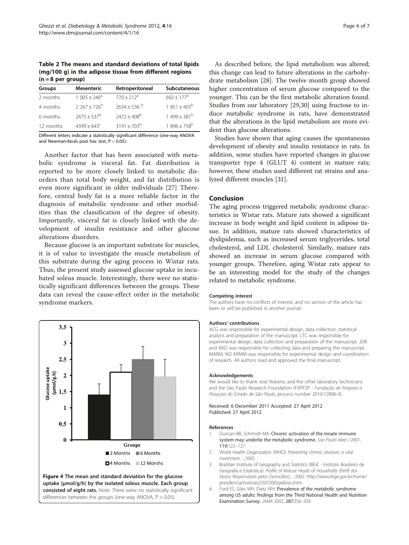<span id="page-5-0"></span>Table 2 The means and standard deviations of total lipids (mg/100 g) in the adipose tissue from different regions  $(n = 8$  per group)

| Groups    | Mesenteric            | Retroperitoneal           | Subcutaneous               |  |  |  |
|-----------|-----------------------|---------------------------|----------------------------|--|--|--|
| 2 months  | $1.005 + 240^{\circ}$ | $770 + 212^a$             | $692 + 177^a$              |  |  |  |
| 4 months  | $2.267 + 726^b$       | $2634 + 536$ <sup>b</sup> | $1.851 + 403^b$            |  |  |  |
| 6 months  | $2475 + 537^b$        | $7477 + 408$ <sup>b</sup> | $1.499 + 381^{b}$          |  |  |  |
| 12 months | $4399 + 643^{\circ}$  | $3191 + 703^b$            | $1.896 + 758$ <sup>b</sup> |  |  |  |
|           |                       |                           |                            |  |  |  |

Different letters indicate a statistically significant difference (one-way ANOVA and Newman-Keuls post hoc test, P < 0.05).

Another factor that has been associated with metabolic syndrome is visceral fat. Fat distribution is reported to be more closely linked to metabolic disorders than total body weight, and fat distribution is even more significant in older individuals [[27\]](#page-6-0) Therefore, central body fat is a more reliable factor in the diagnosis of metabolic syndrome and other morbidities than the classification of the degree of obesity. Importantly, visceral fat is closely linked with the development of insulin resistance and other glucose alterations disorders.

Because glucose is an important substrate for muscles, it is of value to investigate the muscle metabolism of this substrate during the aging process in Wistar rats. Thus, the present study assessed glucose uptake in incubated soleus muscle. Interestingly, there were no statistically significant differences between the groups. These data can reveal the cause-effect order in the metabolic syndrome markers.



differences between the groups (one-way ANOVA,  $P > 0.05$ ).

As described before, the lipid metabolism was altered; this change can lead to future alterations in the carbohydrate metabolism [[28\]](#page-6-0). The twelve month group showed higher concentration of serum glucose compared to the younger. This can be the first metabolic alteration found. Studies from our laboratory [\[29,30\]](#page-6-0) using fructose to induce metabolic syndrome in rats, have demonstrated that the alterations in the lipid metabolism are more evident than glucose alterations.

Studies have shown that aging causes the spontaneous development of obesity and insulin resistance in rats. In addition, some studies have reported changes in glucose transporter type 4 (GLUT 4) content in mature rats; however, these studies used different rat strains and analyzed different muscles [\[31\]](#page-6-0).

#### Conclusion

The aging process triggered metabolic syndrome characteristics in Wistar rats. Mature rats showed a significant increase in body weight and lipid content in adipose tissue. In addition, mature rats showed characteristics of dyslipidemia, such as increased serum triglycerides, total cholesterol, and LDL cholesterol. Similarly, mature rats showed an increase in serum glucose compared with younger groups. Therefore, aging Wistar rats appear to be an interesting model for the study of the changes related to metabolic syndrome.

#### Competing interest

The authors have no conflicts of interest, and no section of the article has been or will be published in another journal.

#### Authors' contributions

ACG was responsible for experimental design, data collection, statistical analysis and preparation of the manuscript. LTC was responsible for experimental design, data collection and preparation of the manuscript. JDB and RAD was responsible for collecting data and preparing the manuscript. MARM, NO ARMM was responsible for experimental design and coordination of research. All authors read and approved the final manuscript.

#### Acknowledgements

We would like to thank José Roberto and the other laboratory technicians and the São Paulo Research Foundation (FAPESP - Fundação de Amparo a Pesquisa do Estado de São Paulo, process number 2010/12896-0).

#### Received: 6 December 2011 Accepted: 27 April 2012 Published: 27 April 2012

#### References

- Duncan BB, Schimidt MA: Chronic activation of the innate immune system may underlie the metabolic syndrome. Sao Paulo Med J 2001, 119:122–127.
- 2. World Health Organization (WHO): Preventing chronic diseases: a vital investment · · 2005
- 3. Brazilian Institute of Geography and Statistics (IBGE Instituto Brasileiro de Geografia e Estatística): Profile of Mature Heads of Households (Perfil dos Idosos Responsáveis pelos Domicílios).: ; 2002. http://www.ibge.gov.br/home/ presidencia/noticias/25072002pidoso.shtm.
- 4. Ford ES, Giles WH, Dietz WH: Prevalence of the metabolic syndrome among US adults: findings from the Third National Health and Nutrition Examination Survey. JAMA 2002, 287:356–359.